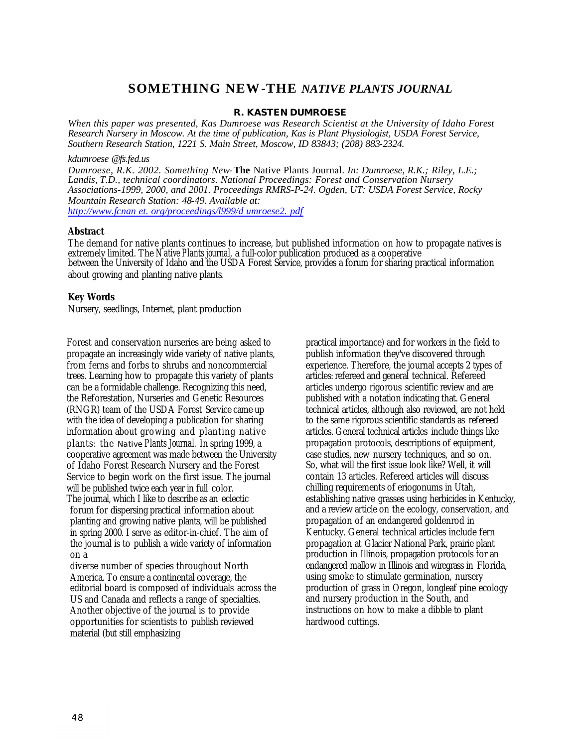# **SOMETHING NEW-THE** *NATIVE PLANTS JOURNAL*

### **R. KASTEN DUMROESE**

*When this paper was presented, Kas Dumroese was Research Scientist at the University of Idaho Forest Research Nursery in Moscow. At the time of publication, Kas is Plant Physiologist, USDA Forest Service, Southern Research Station, 1221 S. Main Street, Moscow, ID 83843; (208) 883-2324.*

#### *kdumroese @fs.fed.us*

*Dumroese, R.K. 2002. Something New-***The** Native Plants Journal. *In: Dumroese, R.K.; Riley, L.E.; Landis, T.D., technical coordinators. National Proceedings: Forest and Conservation Nursery Associations-1999, 2000, and 2001. Proceedings RMRS-P-24. Ogden, UT: USDA Forest Service, Rocky Mountain Research Station: 48-49. Available at:*

*http://www.fcnan et. org/proceedings/l999/d umroese2. pdf*

## **Abstract**

The demand for native plants continues to increase, but published information on how to propagate natives is extremely limited. The *Native Plants journal,* a full-color publication produced as a cooperative between the University of Idaho and the USDA Forest Service, provides a forum for sharing practical information about growing and planting native plants.

## **Key Words**

Nursery, seedlings, Internet, plant production

Forest and conservation nurseries are being asked to propagate an increasingly wide variety of native plants, from ferns and forbs to shrubs and noncommercial trees. Learning how to propagate this variety of plants can be a formidable challenge. Recognizing this need, the Reforestation, Nurseries and Genetic Resources (RNGR) team of the USDA Forest Service came up with the idea of developing a publication for sharing information about growing and planting native plants: the *Native Plants Journal.* In spring 1999, a cooperative agreement was made between the University of Idaho Forest Research Nursery and the Forest Service to begin work on the first issue. The journal will be published twice each year in full color. The journal, which I like to describe as an eclectic forum for dispersing practical information about planting and growing native plants, will be published in spring 2000. I serve as editor-in-chief. The aim of the journal is to publish a wide variety of information on a

diverse number of species throughout North America. To ensure a continental coverage, the editorial board is composed of individuals across the US and Canada and reflects a range of specialties. Another objective of the journal is to provide opportunities for scientists to publish reviewed material (but still emphasizing

practical importance) and for workers in the field to publish information they've discovered through experience. Therefore, the journal accepts 2 types of articles: refereed and general technical. Refereed articles undergo rigorous scientific review and are published with a notation indicating that. General technical articles, although also reviewed, are not held to the same rigorous scientific standards as refereed articles. General technical articles include things like propagation protocols, descriptions of equipment, case studies, new nursery techniques, and so on. So, what will the first issue look like? Well, it will contain 13 articles. Refereed articles will discuss chilling requirements of eriogonums in Utah, establishing native grasses using herbicides in Kentucky, and a review article on the ecology, conservation, and propagation of an endangered goldenrod in Kentucky. General technical articles include fern propagation at Glacier National Park, prairie plant production in Illinois, propagation protocols for an endangered mallow in Illinois and wiregrass in Florida, using smoke to stimulate germination, nursery production of grass in Oregon, longleaf pine ecology and nursery production in the South, and instructions on how to make a dibble to plant hardwood cuttings.